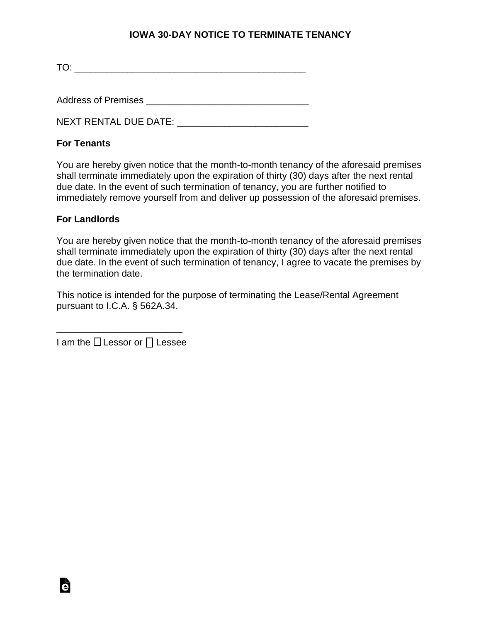## **IOWA 30-DAY NOTICE TO TERMINATE TENANCY**

TO: \_\_\_\_\_\_\_\_\_\_\_\_\_\_\_\_\_\_\_\_\_\_\_\_\_\_\_\_\_\_\_\_\_\_\_\_\_\_\_\_\_\_\_\_

Address of Premises **Exercises** and the set of  $\blacksquare$ 

NEXT RENTAL DUE DATE: \_\_\_\_\_\_\_\_\_\_\_\_\_\_\_\_\_\_\_\_\_\_\_\_\_

## **For Tenants**

You are hereby given notice that the month-to-month tenancy of the aforesaid premises shall terminate immediately upon the expiration of thirty (30) days after the next rental due date. In the event of such termination of tenancy, you are further notified to immediately remove yourself from and deliver up possession of the aforesaid premises.

## **For Landlords**

You are hereby given notice that the month-to-month tenancy of the aforesaid premises shall terminate immediately upon the expiration of thirty (30) days after the next rental due date. In the event of such termination of tenancy, I agree to vacate the premises by the termination date.

This notice is intended for the purpose of terminating the Lease/Rental Agreement pursuant to I.C.A. § 562A.34.

\_\_\_\_\_\_\_\_\_\_\_\_\_\_\_\_\_\_\_\_\_\_\_\_ I am the  $\Box$  Lessor or  $\Box$  Lessee